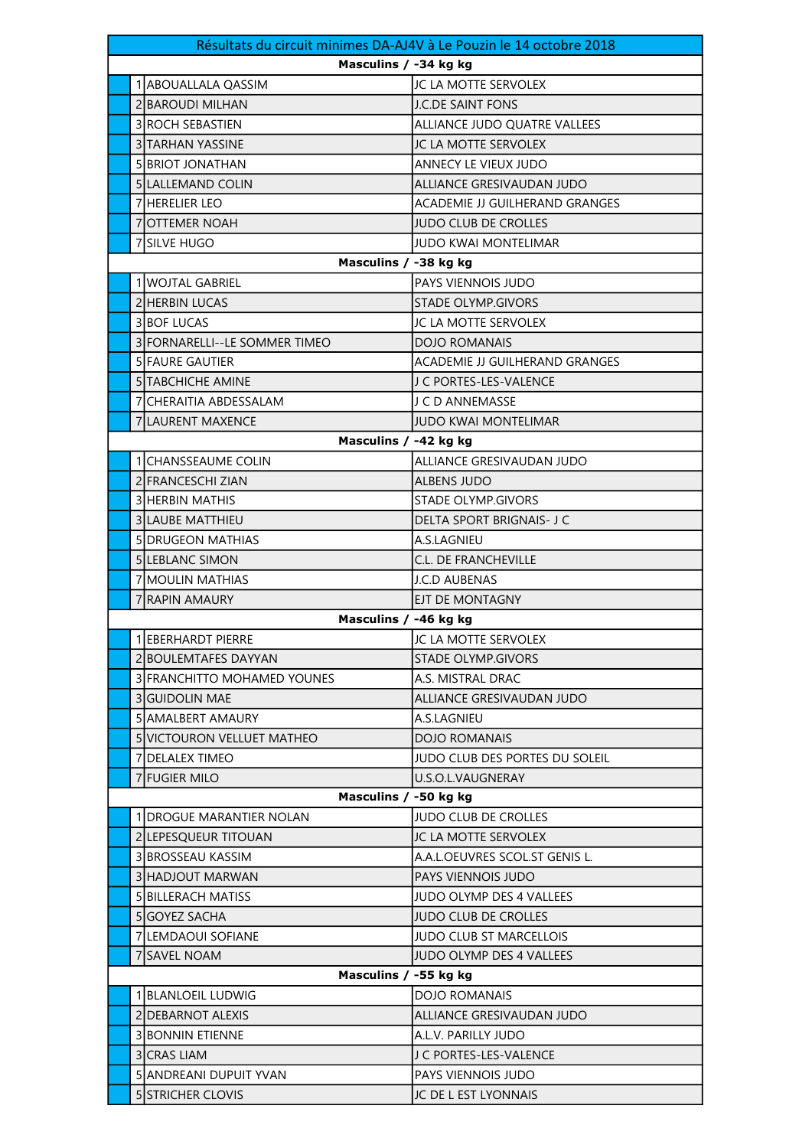| Masculins / -34 kg kg<br>1 ABOUALLALA QASSIM<br>JC LA MOTTE SERVOLEX<br><b>2 BAROUDI MILHAN</b><br><b>J.C.DE SAINT FONS</b><br>3 ROCH SEBASTIEN<br>ALLIANCE JUDO QUATRE VALLEES<br>3 TARHAN YASSINE<br>JC LA MOTTE SERVOLEX<br><b>SIBRIOT JONATHAN</b><br>ANNECY LE VIEUX JUDO<br>5 LALLEMAND COLIN<br>ALLIANCE GRESIVAUDAN JUDO<br><b>7 HERELIER LEO</b><br><b>ACADEMIE JJ GUILHERAND GRANGES</b><br>7OTTEMER NOAH<br><b>JUDO CLUB DE CROLLES</b><br>7 SILVE HUGO<br><b>JUDO KWAI MONTELIMAR</b><br>Masculins / -38 kg kg<br>1 WOJTAL GABRIEL<br>PAYS VIENNOIS JUDO<br><b>2 HERBIN LUCAS</b><br>STADE OLYMP.GIVORS<br><b>3 BOF LUCAS</b><br>JC LA MOTTE SERVOLEX<br>3 FORNARELLI--LE SOMMER TIMEO<br><b>DOJO ROMANAIS</b><br>5 FAURE GAUTIER<br>ACADEMIE JJ GUILHERAND GRANGES<br><b>5ITABCHICHE AMINE</b><br>J C PORTES-LES-VALENCE<br>7 CHERAITIA ABDESSALAM<br>J C D ANNEMASSE<br>7 LAURENT MAXENCE<br><b>JUDO KWAI MONTELIMAR</b><br>Masculins / -42 kg kg<br>1 CHANSSEAUME COLIN<br>ALLIANCE GRESIVAUDAN JUDO<br>2 FRANCESCHI ZIAN<br><b>ALBENS JUDO</b><br>3 HERBIN MATHIS<br>STADE OLYMP.GIVORS<br><b>3 LAUBE MATTHIEU</b><br>DELTA SPORT BRIGNAIS- J C<br><b>5 DRUGEON MATHIAS</b><br>A.S.LAGNIEU<br>5 LEBLANC SIMON<br>C.L. DE FRANCHEVILLE<br><b>7 MOULIN MATHIAS</b><br><b>J.C.D AUBENAS</b><br>7 RAPIN AMAURY<br>EJT DE MONTAGNY | Résultats du circuit minimes DA-AJ4V à Le Pouzin le 14 octobre 2018 |  |  |  |  |
|-----------------------------------------------------------------------------------------------------------------------------------------------------------------------------------------------------------------------------------------------------------------------------------------------------------------------------------------------------------------------------------------------------------------------------------------------------------------------------------------------------------------------------------------------------------------------------------------------------------------------------------------------------------------------------------------------------------------------------------------------------------------------------------------------------------------------------------------------------------------------------------------------------------------------------------------------------------------------------------------------------------------------------------------------------------------------------------------------------------------------------------------------------------------------------------------------------------------------------------------------------------------------------------------------------------------------------------------------|---------------------------------------------------------------------|--|--|--|--|
|                                                                                                                                                                                                                                                                                                                                                                                                                                                                                                                                                                                                                                                                                                                                                                                                                                                                                                                                                                                                                                                                                                                                                                                                                                                                                                                                               |                                                                     |  |  |  |  |
|                                                                                                                                                                                                                                                                                                                                                                                                                                                                                                                                                                                                                                                                                                                                                                                                                                                                                                                                                                                                                                                                                                                                                                                                                                                                                                                                               |                                                                     |  |  |  |  |
|                                                                                                                                                                                                                                                                                                                                                                                                                                                                                                                                                                                                                                                                                                                                                                                                                                                                                                                                                                                                                                                                                                                                                                                                                                                                                                                                               |                                                                     |  |  |  |  |
|                                                                                                                                                                                                                                                                                                                                                                                                                                                                                                                                                                                                                                                                                                                                                                                                                                                                                                                                                                                                                                                                                                                                                                                                                                                                                                                                               |                                                                     |  |  |  |  |
|                                                                                                                                                                                                                                                                                                                                                                                                                                                                                                                                                                                                                                                                                                                                                                                                                                                                                                                                                                                                                                                                                                                                                                                                                                                                                                                                               |                                                                     |  |  |  |  |
|                                                                                                                                                                                                                                                                                                                                                                                                                                                                                                                                                                                                                                                                                                                                                                                                                                                                                                                                                                                                                                                                                                                                                                                                                                                                                                                                               |                                                                     |  |  |  |  |
|                                                                                                                                                                                                                                                                                                                                                                                                                                                                                                                                                                                                                                                                                                                                                                                                                                                                                                                                                                                                                                                                                                                                                                                                                                                                                                                                               |                                                                     |  |  |  |  |
|                                                                                                                                                                                                                                                                                                                                                                                                                                                                                                                                                                                                                                                                                                                                                                                                                                                                                                                                                                                                                                                                                                                                                                                                                                                                                                                                               |                                                                     |  |  |  |  |
|                                                                                                                                                                                                                                                                                                                                                                                                                                                                                                                                                                                                                                                                                                                                                                                                                                                                                                                                                                                                                                                                                                                                                                                                                                                                                                                                               |                                                                     |  |  |  |  |
|                                                                                                                                                                                                                                                                                                                                                                                                                                                                                                                                                                                                                                                                                                                                                                                                                                                                                                                                                                                                                                                                                                                                                                                                                                                                                                                                               |                                                                     |  |  |  |  |
|                                                                                                                                                                                                                                                                                                                                                                                                                                                                                                                                                                                                                                                                                                                                                                                                                                                                                                                                                                                                                                                                                                                                                                                                                                                                                                                                               |                                                                     |  |  |  |  |
|                                                                                                                                                                                                                                                                                                                                                                                                                                                                                                                                                                                                                                                                                                                                                                                                                                                                                                                                                                                                                                                                                                                                                                                                                                                                                                                                               |                                                                     |  |  |  |  |
|                                                                                                                                                                                                                                                                                                                                                                                                                                                                                                                                                                                                                                                                                                                                                                                                                                                                                                                                                                                                                                                                                                                                                                                                                                                                                                                                               |                                                                     |  |  |  |  |
|                                                                                                                                                                                                                                                                                                                                                                                                                                                                                                                                                                                                                                                                                                                                                                                                                                                                                                                                                                                                                                                                                                                                                                                                                                                                                                                                               |                                                                     |  |  |  |  |
|                                                                                                                                                                                                                                                                                                                                                                                                                                                                                                                                                                                                                                                                                                                                                                                                                                                                                                                                                                                                                                                                                                                                                                                                                                                                                                                                               |                                                                     |  |  |  |  |
|                                                                                                                                                                                                                                                                                                                                                                                                                                                                                                                                                                                                                                                                                                                                                                                                                                                                                                                                                                                                                                                                                                                                                                                                                                                                                                                                               |                                                                     |  |  |  |  |
|                                                                                                                                                                                                                                                                                                                                                                                                                                                                                                                                                                                                                                                                                                                                                                                                                                                                                                                                                                                                                                                                                                                                                                                                                                                                                                                                               |                                                                     |  |  |  |  |
|                                                                                                                                                                                                                                                                                                                                                                                                                                                                                                                                                                                                                                                                                                                                                                                                                                                                                                                                                                                                                                                                                                                                                                                                                                                                                                                                               |                                                                     |  |  |  |  |
|                                                                                                                                                                                                                                                                                                                                                                                                                                                                                                                                                                                                                                                                                                                                                                                                                                                                                                                                                                                                                                                                                                                                                                                                                                                                                                                                               |                                                                     |  |  |  |  |
|                                                                                                                                                                                                                                                                                                                                                                                                                                                                                                                                                                                                                                                                                                                                                                                                                                                                                                                                                                                                                                                                                                                                                                                                                                                                                                                                               |                                                                     |  |  |  |  |
|                                                                                                                                                                                                                                                                                                                                                                                                                                                                                                                                                                                                                                                                                                                                                                                                                                                                                                                                                                                                                                                                                                                                                                                                                                                                                                                                               |                                                                     |  |  |  |  |
|                                                                                                                                                                                                                                                                                                                                                                                                                                                                                                                                                                                                                                                                                                                                                                                                                                                                                                                                                                                                                                                                                                                                                                                                                                                                                                                                               |                                                                     |  |  |  |  |
|                                                                                                                                                                                                                                                                                                                                                                                                                                                                                                                                                                                                                                                                                                                                                                                                                                                                                                                                                                                                                                                                                                                                                                                                                                                                                                                                               |                                                                     |  |  |  |  |
|                                                                                                                                                                                                                                                                                                                                                                                                                                                                                                                                                                                                                                                                                                                                                                                                                                                                                                                                                                                                                                                                                                                                                                                                                                                                                                                                               |                                                                     |  |  |  |  |
|                                                                                                                                                                                                                                                                                                                                                                                                                                                                                                                                                                                                                                                                                                                                                                                                                                                                                                                                                                                                                                                                                                                                                                                                                                                                                                                                               |                                                                     |  |  |  |  |
|                                                                                                                                                                                                                                                                                                                                                                                                                                                                                                                                                                                                                                                                                                                                                                                                                                                                                                                                                                                                                                                                                                                                                                                                                                                                                                                                               |                                                                     |  |  |  |  |
|                                                                                                                                                                                                                                                                                                                                                                                                                                                                                                                                                                                                                                                                                                                                                                                                                                                                                                                                                                                                                                                                                                                                                                                                                                                                                                                                               |                                                                     |  |  |  |  |
|                                                                                                                                                                                                                                                                                                                                                                                                                                                                                                                                                                                                                                                                                                                                                                                                                                                                                                                                                                                                                                                                                                                                                                                                                                                                                                                                               |                                                                     |  |  |  |  |
| Masculins / -46 kg kg                                                                                                                                                                                                                                                                                                                                                                                                                                                                                                                                                                                                                                                                                                                                                                                                                                                                                                                                                                                                                                                                                                                                                                                                                                                                                                                         |                                                                     |  |  |  |  |
| 1 EBERHARDT PIERRE<br>JC LA MOTTE SERVOLEX                                                                                                                                                                                                                                                                                                                                                                                                                                                                                                                                                                                                                                                                                                                                                                                                                                                                                                                                                                                                                                                                                                                                                                                                                                                                                                    |                                                                     |  |  |  |  |
| 2 BOULEMTAFES DAYYAN<br><b>STADE OLYMP.GIVORS</b>                                                                                                                                                                                                                                                                                                                                                                                                                                                                                                                                                                                                                                                                                                                                                                                                                                                                                                                                                                                                                                                                                                                                                                                                                                                                                             |                                                                     |  |  |  |  |
| <b>3 FRANCHITTO MOHAMED YOUNES</b><br>A.S. MISTRAL DRAC                                                                                                                                                                                                                                                                                                                                                                                                                                                                                                                                                                                                                                                                                                                                                                                                                                                                                                                                                                                                                                                                                                                                                                                                                                                                                       |                                                                     |  |  |  |  |
| ALLIANCE GRESIVAUDAN JUDO<br><b>3</b> GUIDOLIN MAE                                                                                                                                                                                                                                                                                                                                                                                                                                                                                                                                                                                                                                                                                                                                                                                                                                                                                                                                                                                                                                                                                                                                                                                                                                                                                            |                                                                     |  |  |  |  |
| <b>5 AMALBERT AMAURY</b><br>A.S.LAGNIEU                                                                                                                                                                                                                                                                                                                                                                                                                                                                                                                                                                                                                                                                                                                                                                                                                                                                                                                                                                                                                                                                                                                                                                                                                                                                                                       |                                                                     |  |  |  |  |
| <b>DOJO ROMANAIS</b><br><b>5 VICTOURON VELLUET MATHEO</b>                                                                                                                                                                                                                                                                                                                                                                                                                                                                                                                                                                                                                                                                                                                                                                                                                                                                                                                                                                                                                                                                                                                                                                                                                                                                                     |                                                                     |  |  |  |  |
| 7 DELALEX TIMEO<br>JUDO CLUB DES PORTES DU SOLEIL                                                                                                                                                                                                                                                                                                                                                                                                                                                                                                                                                                                                                                                                                                                                                                                                                                                                                                                                                                                                                                                                                                                                                                                                                                                                                             |                                                                     |  |  |  |  |
| U.S.O.L.VAUGNERAY<br>7 FUGIER MILO                                                                                                                                                                                                                                                                                                                                                                                                                                                                                                                                                                                                                                                                                                                                                                                                                                                                                                                                                                                                                                                                                                                                                                                                                                                                                                            |                                                                     |  |  |  |  |
| Masculins / -50 kg kg                                                                                                                                                                                                                                                                                                                                                                                                                                                                                                                                                                                                                                                                                                                                                                                                                                                                                                                                                                                                                                                                                                                                                                                                                                                                                                                         |                                                                     |  |  |  |  |
| <b>1IDROGUE MARANTIER NOLAN</b><br><b>JUDO CLUB DE CROLLES</b>                                                                                                                                                                                                                                                                                                                                                                                                                                                                                                                                                                                                                                                                                                                                                                                                                                                                                                                                                                                                                                                                                                                                                                                                                                                                                |                                                                     |  |  |  |  |
| JC LA MOTTE SERVOLEX<br>2 LEPESQUEUR TITOUAN                                                                                                                                                                                                                                                                                                                                                                                                                                                                                                                                                                                                                                                                                                                                                                                                                                                                                                                                                                                                                                                                                                                                                                                                                                                                                                  |                                                                     |  |  |  |  |
| 3 BROSSEAU KASSIM<br>A.A.L.OEUVRES SCOL.ST GENIS L.                                                                                                                                                                                                                                                                                                                                                                                                                                                                                                                                                                                                                                                                                                                                                                                                                                                                                                                                                                                                                                                                                                                                                                                                                                                                                           |                                                                     |  |  |  |  |
| 3 HADJOUT MARWAN<br>PAYS VIENNOIS JUDO                                                                                                                                                                                                                                                                                                                                                                                                                                                                                                                                                                                                                                                                                                                                                                                                                                                                                                                                                                                                                                                                                                                                                                                                                                                                                                        |                                                                     |  |  |  |  |
| <b>5 BILLERACH MATISS</b><br><b>JUDO OLYMP DES 4 VALLEES</b>                                                                                                                                                                                                                                                                                                                                                                                                                                                                                                                                                                                                                                                                                                                                                                                                                                                                                                                                                                                                                                                                                                                                                                                                                                                                                  |                                                                     |  |  |  |  |
| 5 GOYEZ SACHA<br><b>JUDO CLUB DE CROLLES</b>                                                                                                                                                                                                                                                                                                                                                                                                                                                                                                                                                                                                                                                                                                                                                                                                                                                                                                                                                                                                                                                                                                                                                                                                                                                                                                  |                                                                     |  |  |  |  |
| 7 LEMDAOUI SOFIANE<br>JUDO CLUB ST MARCELLOIS                                                                                                                                                                                                                                                                                                                                                                                                                                                                                                                                                                                                                                                                                                                                                                                                                                                                                                                                                                                                                                                                                                                                                                                                                                                                                                 |                                                                     |  |  |  |  |
| 7 SAVEL NOAM<br>JUDO OLYMP DES 4 VALLEES                                                                                                                                                                                                                                                                                                                                                                                                                                                                                                                                                                                                                                                                                                                                                                                                                                                                                                                                                                                                                                                                                                                                                                                                                                                                                                      |                                                                     |  |  |  |  |
| Masculins / -55 kg kg                                                                                                                                                                                                                                                                                                                                                                                                                                                                                                                                                                                                                                                                                                                                                                                                                                                                                                                                                                                                                                                                                                                                                                                                                                                                                                                         |                                                                     |  |  |  |  |
| 1 BLANLOEIL LUDWIG<br><b>DOJO ROMANAIS</b><br>2 DEBARNOT ALEXIS<br>ALLIANCE GRESIVAUDAN JUDO                                                                                                                                                                                                                                                                                                                                                                                                                                                                                                                                                                                                                                                                                                                                                                                                                                                                                                                                                                                                                                                                                                                                                                                                                                                  |                                                                     |  |  |  |  |
| <b>3 BONNIN ETIENNE</b><br>A.L.V. PARILLY JUDO                                                                                                                                                                                                                                                                                                                                                                                                                                                                                                                                                                                                                                                                                                                                                                                                                                                                                                                                                                                                                                                                                                                                                                                                                                                                                                |                                                                     |  |  |  |  |
| 3 CRAS LIAM<br>J C PORTES-LES-VALENCE                                                                                                                                                                                                                                                                                                                                                                                                                                                                                                                                                                                                                                                                                                                                                                                                                                                                                                                                                                                                                                                                                                                                                                                                                                                                                                         |                                                                     |  |  |  |  |
| <b>5 JANDREANI DUPUIT YVAN</b><br>PAYS VIENNOIS JUDO                                                                                                                                                                                                                                                                                                                                                                                                                                                                                                                                                                                                                                                                                                                                                                                                                                                                                                                                                                                                                                                                                                                                                                                                                                                                                          |                                                                     |  |  |  |  |
| 5 STRICHER CLOVIS<br>JC DE L EST LYONNAIS                                                                                                                                                                                                                                                                                                                                                                                                                                                                                                                                                                                                                                                                                                                                                                                                                                                                                                                                                                                                                                                                                                                                                                                                                                                                                                     |                                                                     |  |  |  |  |